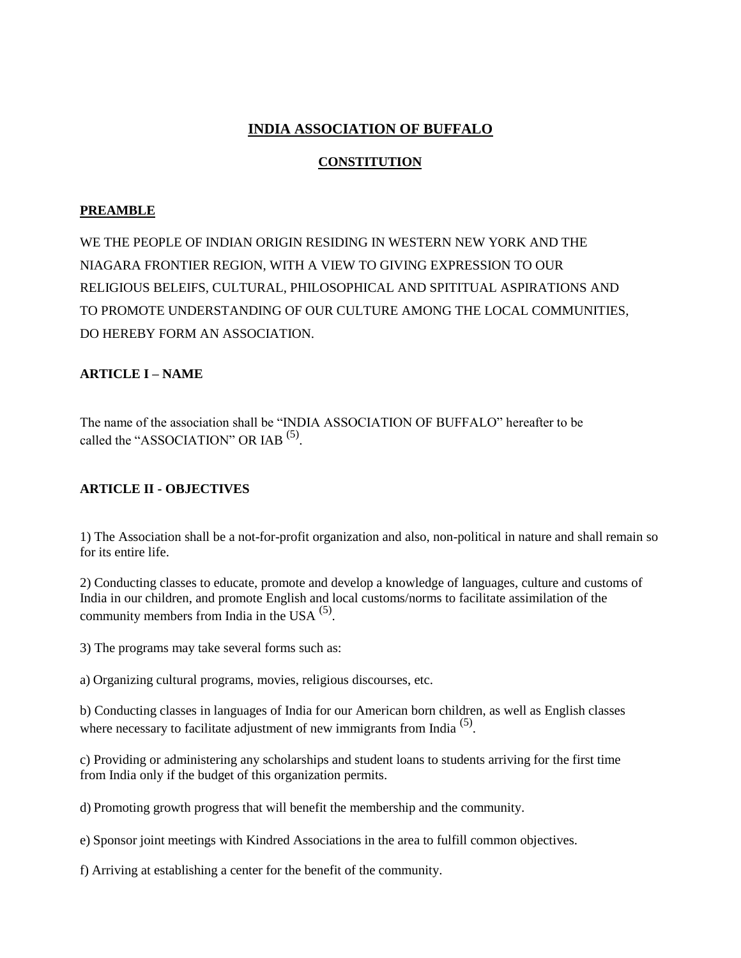# **INDIA ASSOCIATION OF BUFFALO**

# **CONSTITUTION**

# **PREAMBLE**

WE THE PEOPLE OF INDIAN ORIGIN RESIDING IN WESTERN NEW YORK AND THE NIAGARA FRONTIER REGION, WITH A VIEW TO GIVING EXPRESSION TO OUR RELIGIOUS BELEIFS, CULTURAL, PHILOSOPHICAL AND SPITITUAL ASPIRATIONS AND TO PROMOTE UNDERSTANDING OF OUR CULTURE AMONG THE LOCAL COMMUNITIES, DO HEREBY FORM AN ASSOCIATION.

# **ARTICLE I – NAME**

The name of the association shall be "INDIA ASSOCIATION OF BUFFALO" hereafter to be called the "ASSOCIATION" OR IAB  $<sup>(5)</sup>$ .</sup>

# **ARTICLE II - OBJECTIVES**

1) The Association shall be a not-for-profit organization and also, non-political in nature and shall remain so for its entire life.

2) Conducting classes to educate, promote and develop a knowledge of languages, culture and customs of India in our children, and promote English and local customs/norms to facilitate assimilation of the community members from India in the USA  $<sup>(5)</sup>$ .</sup>

3) The programs may take several forms such as:

a) Organizing cultural programs, movies, religious discourses, etc.

b) Conducting classes in languages of India for our American born children, as well as English classes where necessary to facilitate adjustment of new immigrants from India  $(5)$ .

c) Providing or administering any scholarships and student loans to students arriving for the first time from India only if the budget of this organization permits.

d) Promoting growth progress that will benefit the membership and the community.

e) Sponsor joint meetings with Kindred Associations in the area to fulfill common objectives.

f) Arriving at establishing a center for the benefit of the community.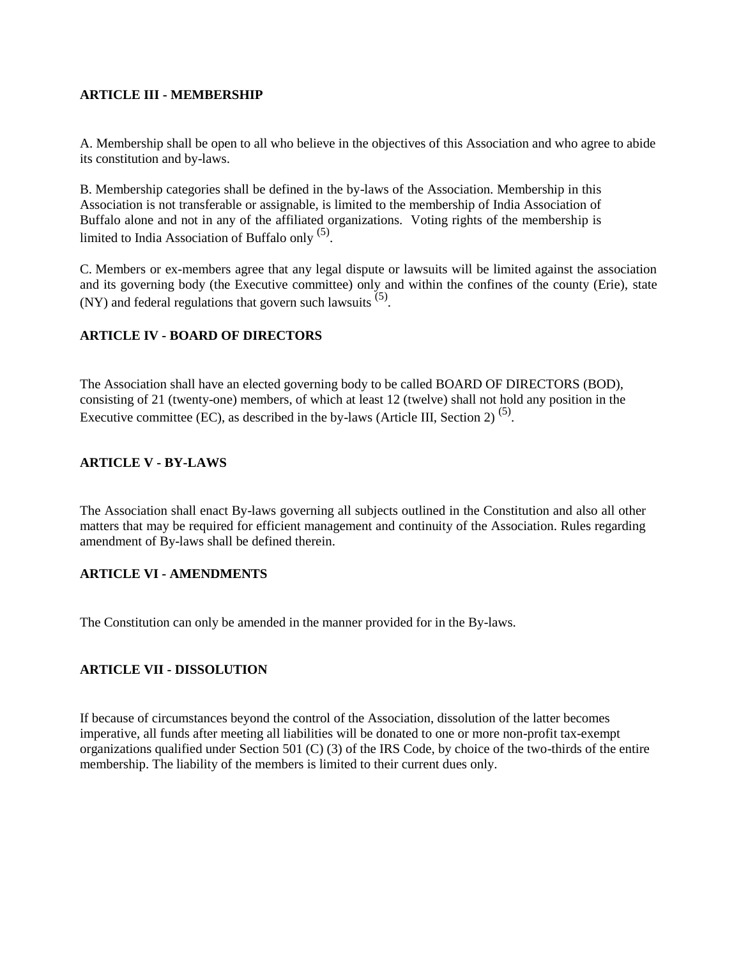### **ARTICLE III - MEMBERSHIP**

A. Membership shall be open to all who believe in the objectives of this Association and who agree to abide its constitution and by-laws.

B. Membership categories shall be defined in the by-laws of the Association. Membership in this Association is not transferable or assignable, is limited to the membership of India Association of Buffalo alone and not in any of the affiliated organizations. Voting rights of the membership is limited to India Association of Buffalo only <sup>(5)</sup>.

C. Members or ex-members agree that any legal dispute or lawsuits will be limited against the association and its governing body (the Executive committee) only and within the confines of the county (Erie), state  $(NY)$  and federal regulations that govern such lawsuits  $(5)$ .

# **ARTICLE IV - BOARD OF DIRECTORS**

The Association shall have an elected governing body to be called BOARD OF DIRECTORS (BOD), consisting of 21 (twenty-one) members, of which at least 12 (twelve) shall not hold any position in the Executive committee (EC), as described in the by-laws (Article III, Section 2)<sup>(5)</sup>.

### **ARTICLE V - BY-LAWS**

The Association shall enact By-laws governing all subjects outlined in the Constitution and also all other matters that may be required for efficient management and continuity of the Association. Rules regarding amendment of By-laws shall be defined therein.

### **ARTICLE VI - AMENDMENTS**

The Constitution can only be amended in the manner provided for in the By-laws.

### **ARTICLE VII - DISSOLUTION**

If because of circumstances beyond the control of the Association, dissolution of the latter becomes imperative, all funds after meeting all liabilities will be donated to one or more non-profit tax-exempt organizations qualified under Section 501 (C) (3) of the IRS Code, by choice of the two-thirds of the entire membership. The liability of the members is limited to their current dues only.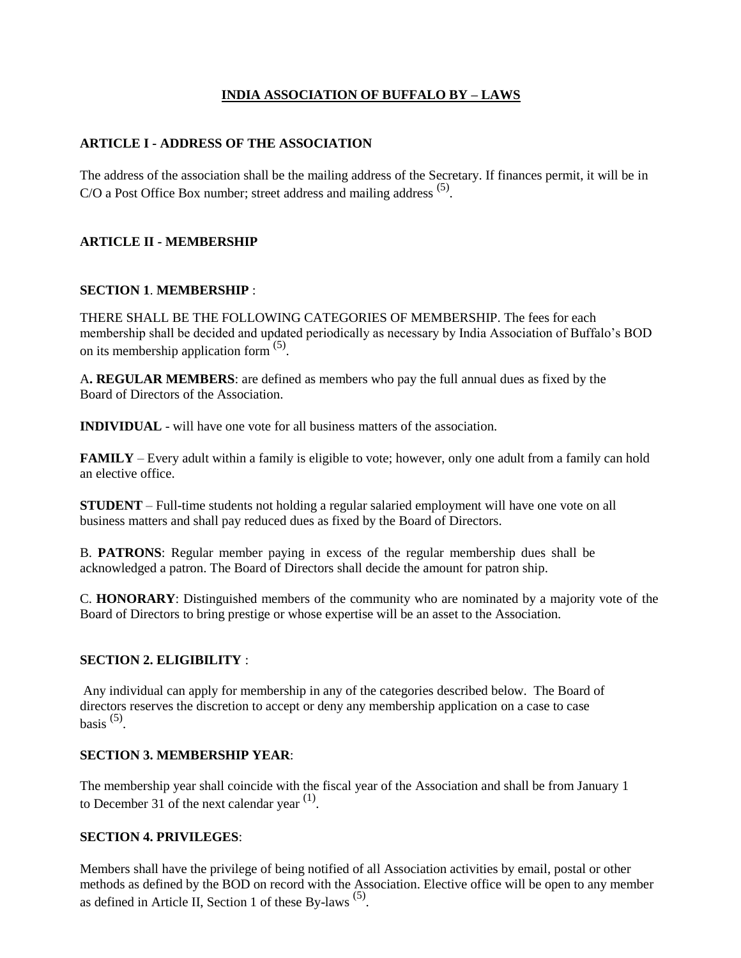# **INDIA ASSOCIATION OF BUFFALO BY – LAWS**

### **ARTICLE I - ADDRESS OF THE ASSOCIATION**

The address of the association shall be the mailing address of the Secretary. If finances permit, it will be in  $C/O$  a Post Office Box number; street address and mailing address  $<sup>(5)</sup>$ .</sup>

### **ARTICLE II - MEMBERSHIP**

### **SECTION 1**. **MEMBERSHIP** :

THERE SHALL BE THE FOLLOWING CATEGORIES OF MEMBERSHIP. The fees for each membership shall be decided and updated periodically as necessary by India Association of Buffalo's BOD on its membership application form  $(5)$ .

A**. REGULAR MEMBERS**: are defined as members who pay the full annual dues as fixed by the Board of Directors of the Association.

**INDIVIDUAL** - will have one vote for all business matters of the association.

**FAMILY** – Every adult within a family is eligible to vote; however, only one adult from a family can hold an elective office.

**STUDENT** – Full-time students not holding a regular salaried employment will have one vote on all business matters and shall pay reduced dues as fixed by the Board of Directors.

B. **PATRONS**: Regular member paying in excess of the regular membership dues shall be acknowledged a patron. The Board of Directors shall decide the amount for patron ship.

C. **HONORARY**: Distinguished members of the community who are nominated by a majority vote of the Board of Directors to bring prestige or whose expertise will be an asset to the Association.

### **SECTION 2. ELIGIBILITY** :

Any individual can apply for membership in any of the categories described below. The Board of directors reserves the discretion to accept or deny any membership application on a case to case basis  $(5)$ .

### **SECTION 3. MEMBERSHIP YEAR**:

The membership year shall coincide with the fiscal year of the Association and shall be from January 1 to December 31 of the next calendar year  $(1)$ .

#### **SECTION 4. PRIVILEGES**:

Members shall have the privilege of being notified of all Association activities by email, postal or other methods as defined by the BOD on record with the Association. Elective office will be open to any member as defined in Article II, Section 1 of these By-laws  $(5)$ .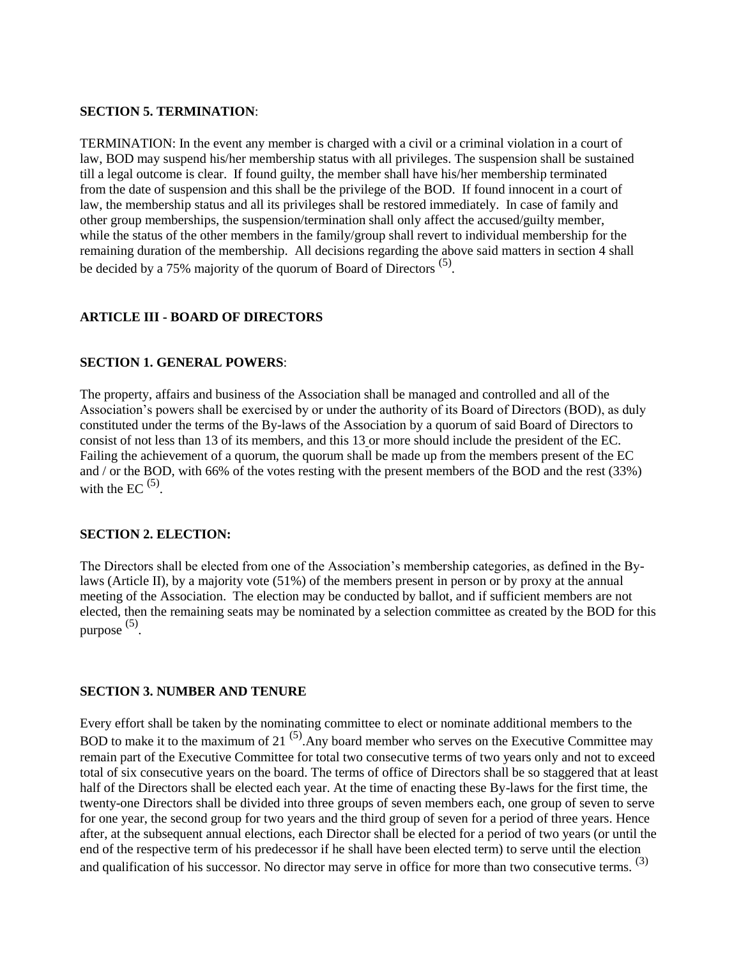#### **SECTION 5. TERMINATION**:

TERMINATION: In the event any member is charged with a civil or a criminal violation in a court of law, BOD may suspend his/her membership status with all privileges. The suspension shall be sustained till a legal outcome is clear. If found guilty, the member shall have his/her membership terminated from the date of suspension and this shall be the privilege of the BOD. If found innocent in a court of law, the membership status and all its privileges shall be restored immediately. In case of family and other group memberships, the suspension/termination shall only affect the accused/guilty member, while the status of the other members in the family/group shall revert to individual membership for the remaining duration of the membership. All decisions regarding the above said matters in section 4 shall be decided by a 75% majority of the quorum of Board of Directors<sup>(5)</sup>.

# **ARTICLE III - BOARD OF DIRECTORS**

### **SECTION 1. GENERAL POWERS**:

The property, affairs and business of the Association shall be managed and controlled and all of the Association's powers shall be exercised by or under the authority of its Board of Directors (BOD), as duly constituted under the terms of the By-laws of the Association by a quorum of said Board of Directors to consist of not less than 13 of its members, and this 13 or more should include the president of the EC. Failing the achievement of a quorum, the quorum shall be made up from the members present of the EC and / or the BOD, with 66% of the votes resting with the present members of the BOD and the rest (33%) with the EC  $(5)$ .

### **SECTION 2. ELECTION:**

The Directors shall be elected from one of the Association's membership categories, as defined in the Bylaws (Article II), by a majority vote (51%) of the members present in person or by proxy at the annual meeting of the Association. The election may be conducted by ballot, and if sufficient members are not elected, then the remaining seats may be nominated by a selection committee as created by the BOD for this purpose (5) .

### **SECTION 3. NUMBER AND TENURE**

Every effort shall be taken by the nominating committee to elect or nominate additional members to the BOD to make it to the maximum of 21<sup> $(5)$ </sup>. Any board member who serves on the Executive Committee may remain part of the Executive Committee for total two consecutive terms of two years only and not to exceed total of six consecutive years on the board. The terms of office of Directors shall be so staggered that at least half of the Directors shall be elected each year. At the time of enacting these By-laws for the first time, the twenty-one Directors shall be divided into three groups of seven members each, one group of seven to serve for one year, the second group for two years and the third group of seven for a period of three years. Hence after, at the subsequent annual elections, each Director shall be elected for a period of two years (or until the end of the respective term of his predecessor if he shall have been elected term) to serve until the election and qualification of his successor. No director may serve in office for more than two consecutive terms. <sup>(3)</sup>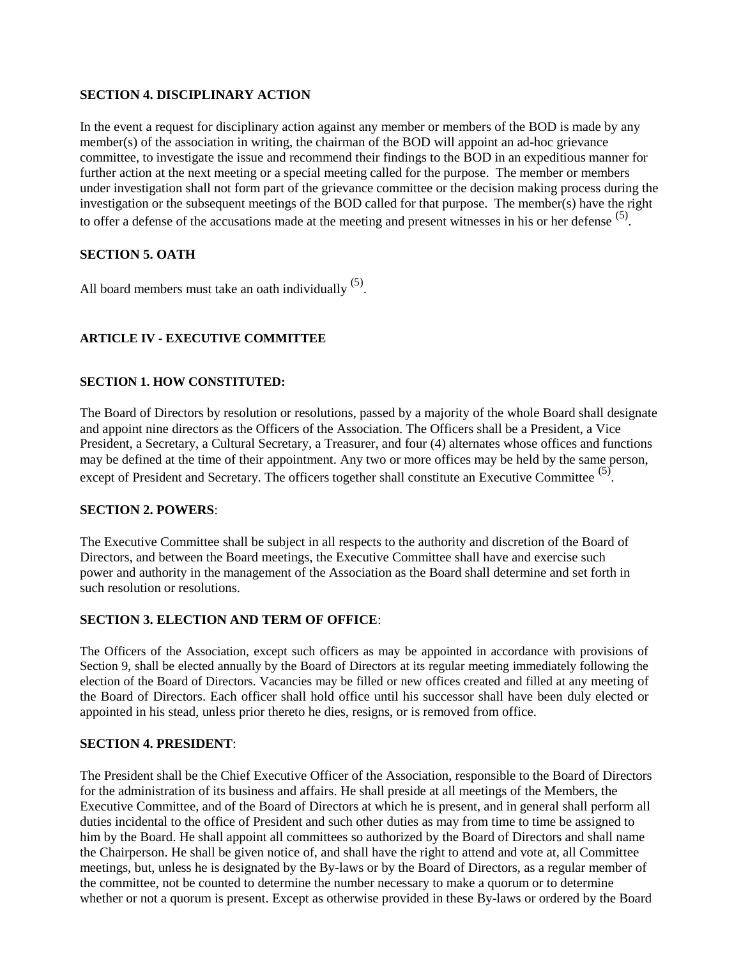### **SECTION 4. DISCIPLINARY ACTION**

In the event a request for disciplinary action against any member or members of the BOD is made by any member(s) of the association in writing, the chairman of the BOD will appoint an ad-hoc grievance committee, to investigate the issue and recommend their findings to the BOD in an expeditious manner for further action at the next meeting or a special meeting called for the purpose. The member or members under investigation shall not form part of the grievance committee or the decision making process during the investigation or the subsequent meetings of the BOD called for that purpose. The member(s) have the right to offer a defense of the accusations made at the meeting and present witnesses in his or her defense  $(5)$ .

### **SECTION 5. OATH**

All board members must take an oath individually  $<sup>(5)</sup>$ .</sup>

# **ARTICLE IV - EXECUTIVE COMMITTEE**

### **SECTION 1. HOW CONSTITUTED:**

The Board of Directors by resolution or resolutions, passed by a majority of the whole Board shall designate and appoint nine directors as the Officers of the Association. The Officers shall be a President, a Vice President, a Secretary, a Cultural Secretary, a Treasurer, and four (4) alternates whose offices and functions may be defined at the time of their appointment. Any two or more offices may be held by the same person, except of President and Secretary. The officers together shall constitute an Executive Committee <sup>(5)</sup>.

### **SECTION 2. POWERS**:

The Executive Committee shall be subject in all respects to the authority and discretion of the Board of Directors, and between the Board meetings, the Executive Committee shall have and exercise such power and authority in the management of the Association as the Board shall determine and set forth in such resolution or resolutions.

# **SECTION 3. ELECTION AND TERM OF OFFICE**:

The Officers of the Association, except such officers as may be appointed in accordance with provisions of Section 9, shall be elected annually by the Board of Directors at its regular meeting immediately following the election of the Board of Directors. Vacancies may be filled or new offices created and filled at any meeting of the Board of Directors. Each officer shall hold office until his successor shall have been duly elected or appointed in his stead, unless prior thereto he dies, resigns, or is removed from office.

### **SECTION 4. PRESIDENT**:

The President shall be the Chief Executive Officer of the Association, responsible to the Board of Directors for the administration of its business and affairs. He shall preside at all meetings of the Members, the Executive Committee, and of the Board of Directors at which he is present, and in general shall perform all duties incidental to the office of President and such other duties as may from time to time be assigned to him by the Board. He shall appoint all committees so authorized by the Board of Directors and shall name the Chairperson. He shall be given notice of, and shall have the right to attend and vote at, all Committee meetings, but, unless he is designated by the By-laws or by the Board of Directors, as a regular member of the committee, not be counted to determine the number necessary to make a quorum or to determine whether or not a quorum is present. Except as otherwise provided in these By-laws or ordered by the Board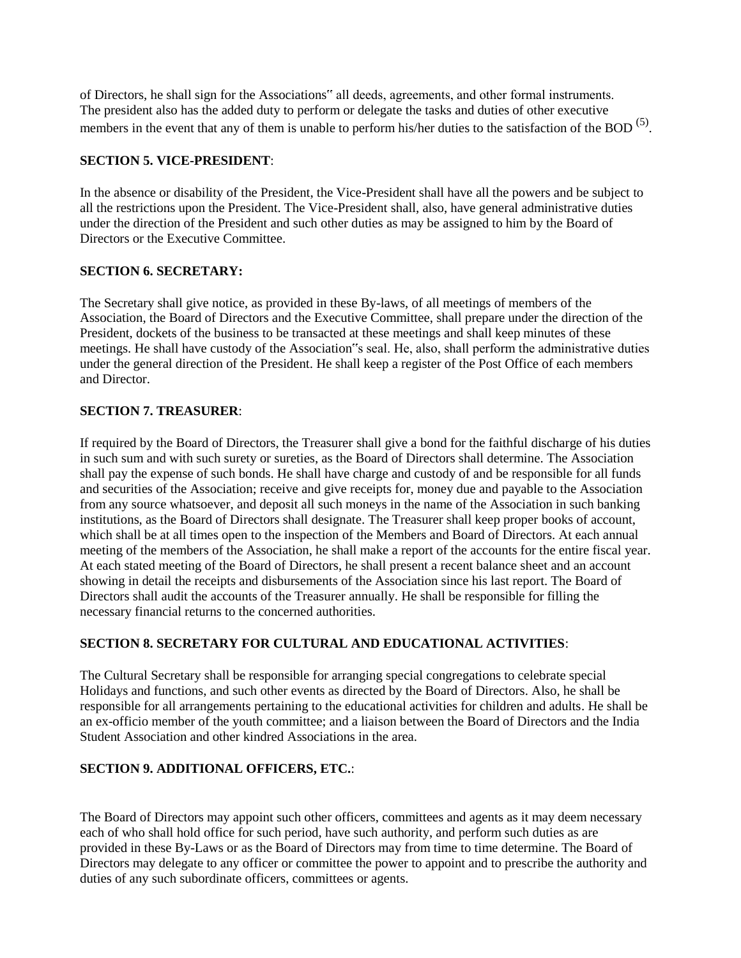of Directors, he shall sign for the Associations" all deeds, agreements, and other formal instruments. The president also has the added duty to perform or delegate the tasks and duties of other executive members in the event that any of them is unable to perform his/her duties to the satisfaction of the BOD<sup>(5)</sup>.

### **SECTION 5. VICE-PRESIDENT**:

In the absence or disability of the President, the Vice-President shall have all the powers and be subject to all the restrictions upon the President. The Vice-President shall, also, have general administrative duties under the direction of the President and such other duties as may be assigned to him by the Board of Directors or the Executive Committee.

### **SECTION 6. SECRETARY:**

The Secretary shall give notice, as provided in these By-laws, of all meetings of members of the Association, the Board of Directors and the Executive Committee, shall prepare under the direction of the President, dockets of the business to be transacted at these meetings and shall keep minutes of these meetings. He shall have custody of the Association"s seal. He, also, shall perform the administrative duties under the general direction of the President. He shall keep a register of the Post Office of each members and Director.

### **SECTION 7. TREASURER**:

If required by the Board of Directors, the Treasurer shall give a bond for the faithful discharge of his duties in such sum and with such surety or sureties, as the Board of Directors shall determine. The Association shall pay the expense of such bonds. He shall have charge and custody of and be responsible for all funds and securities of the Association; receive and give receipts for, money due and payable to the Association from any source whatsoever, and deposit all such moneys in the name of the Association in such banking institutions, as the Board of Directors shall designate. The Treasurer shall keep proper books of account, which shall be at all times open to the inspection of the Members and Board of Directors. At each annual meeting of the members of the Association, he shall make a report of the accounts for the entire fiscal year. At each stated meeting of the Board of Directors, he shall present a recent balance sheet and an account showing in detail the receipts and disbursements of the Association since his last report. The Board of Directors shall audit the accounts of the Treasurer annually. He shall be responsible for filling the necessary financial returns to the concerned authorities.

# **SECTION 8. SECRETARY FOR CULTURAL AND EDUCATIONAL ACTIVITIES**:

The Cultural Secretary shall be responsible for arranging special congregations to celebrate special Holidays and functions, and such other events as directed by the Board of Directors. Also, he shall be responsible for all arrangements pertaining to the educational activities for children and adults. He shall be an ex-officio member of the youth committee; and a liaison between the Board of Directors and the India Student Association and other kindred Associations in the area.

# **SECTION 9. ADDITIONAL OFFICERS, ETC.**:

The Board of Directors may appoint such other officers, committees and agents as it may deem necessary each of who shall hold office for such period, have such authority, and perform such duties as are provided in these By-Laws or as the Board of Directors may from time to time determine. The Board of Directors may delegate to any officer or committee the power to appoint and to prescribe the authority and duties of any such subordinate officers, committees or agents.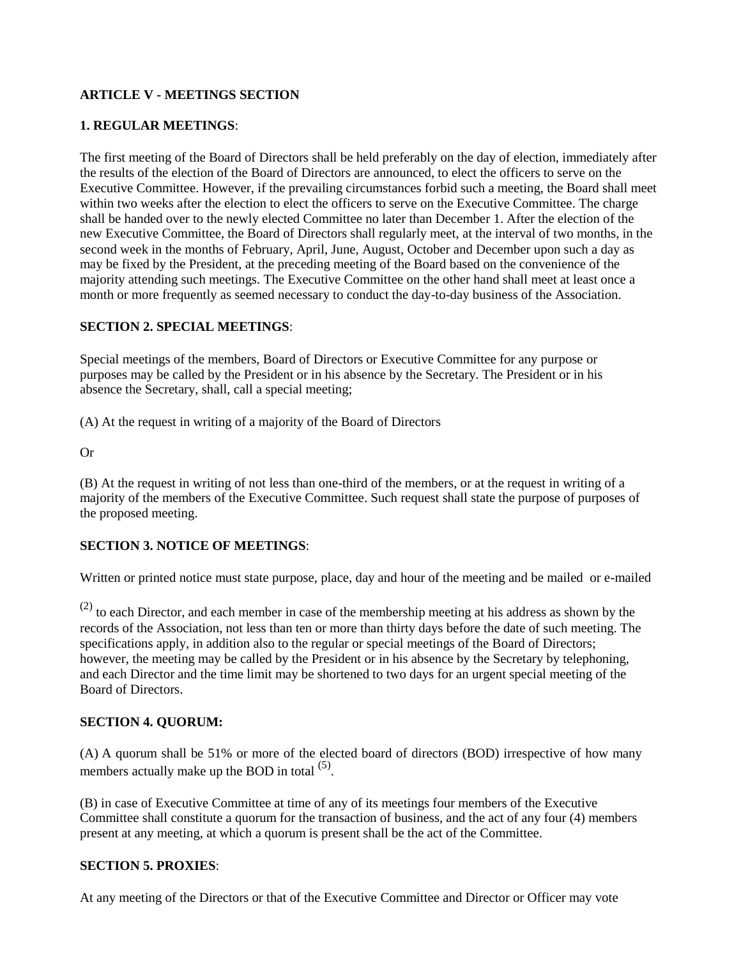# **ARTICLE V - MEETINGS SECTION**

### **1. REGULAR MEETINGS**:

The first meeting of the Board of Directors shall be held preferably on the day of election, immediately after the results of the election of the Board of Directors are announced, to elect the officers to serve on the Executive Committee. However, if the prevailing circumstances forbid such a meeting, the Board shall meet within two weeks after the election to elect the officers to serve on the Executive Committee. The charge shall be handed over to the newly elected Committee no later than December 1. After the election of the new Executive Committee, the Board of Directors shall regularly meet, at the interval of two months, in the second week in the months of February, April, June, August, October and December upon such a day as may be fixed by the President, at the preceding meeting of the Board based on the convenience of the majority attending such meetings. The Executive Committee on the other hand shall meet at least once a month or more frequently as seemed necessary to conduct the day-to-day business of the Association.

### **SECTION 2. SPECIAL MEETINGS**:

Special meetings of the members, Board of Directors or Executive Committee for any purpose or purposes may be called by the President or in his absence by the Secretary. The President or in his absence the Secretary, shall, call a special meeting;

(A) At the request in writing of a majority of the Board of Directors

Or

(B) At the request in writing of not less than one-third of the members, or at the request in writing of a majority of the members of the Executive Committee. Such request shall state the purpose of purposes of the proposed meeting.

### **SECTION 3. NOTICE OF MEETINGS**:

Written or printed notice must state purpose, place, day and hour of the meeting and be mailed or e-mailed

 $(2)$  to each Director, and each member in case of the membership meeting at his address as shown by the records of the Association, not less than ten or more than thirty days before the date of such meeting. The specifications apply, in addition also to the regular or special meetings of the Board of Directors; however, the meeting may be called by the President or in his absence by the Secretary by telephoning, and each Director and the time limit may be shortened to two days for an urgent special meeting of the Board of Directors.

### **SECTION 4. QUORUM:**

(A) A quorum shall be 51% or more of the elected board of directors (BOD) irrespective of how many members actually make up the BOD in total  $(5)$ .

(B) in case of Executive Committee at time of any of its meetings four members of the Executive Committee shall constitute a quorum for the transaction of business, and the act of any four (4) members present at any meeting, at which a quorum is present shall be the act of the Committee.

### **SECTION 5. PROXIES**:

At any meeting of the Directors or that of the Executive Committee and Director or Officer may vote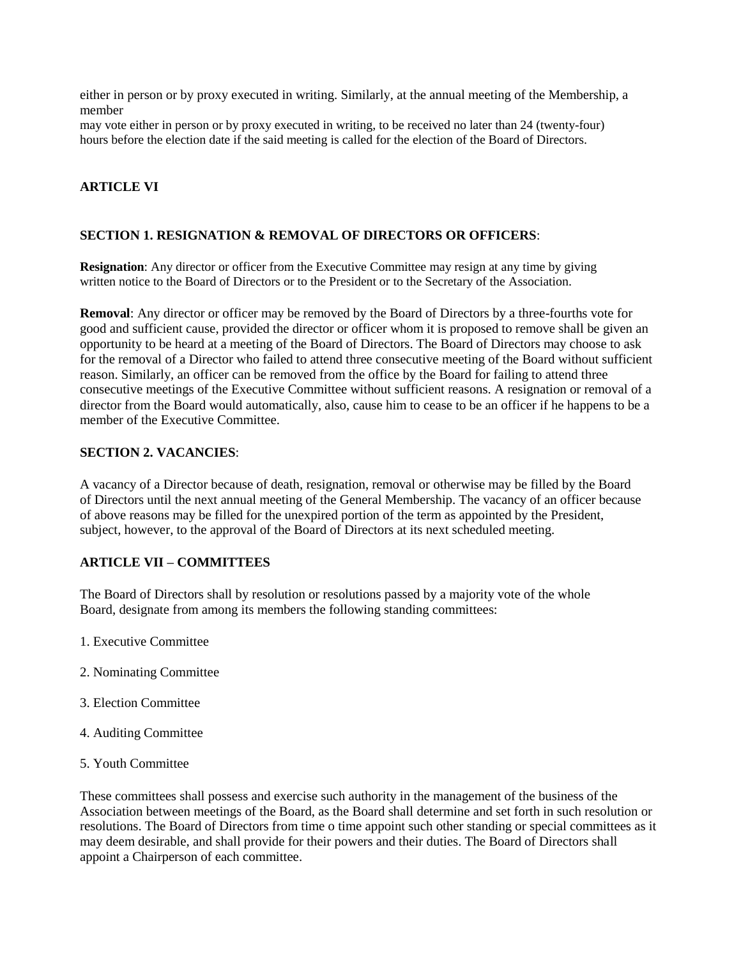either in person or by proxy executed in writing. Similarly, at the annual meeting of the Membership, a member

may vote either in person or by proxy executed in writing, to be received no later than 24 (twenty-four) hours before the election date if the said meeting is called for the election of the Board of Directors.

### **ARTICLE VI**

#### **SECTION 1. RESIGNATION & REMOVAL OF DIRECTORS OR OFFICERS**:

**Resignation**: Any director or officer from the Executive Committee may resign at any time by giving written notice to the Board of Directors or to the President or to the Secretary of the Association.

**Removal**: Any director or officer may be removed by the Board of Directors by a three-fourths vote for good and sufficient cause, provided the director or officer whom it is proposed to remove shall be given an opportunity to be heard at a meeting of the Board of Directors. The Board of Directors may choose to ask for the removal of a Director who failed to attend three consecutive meeting of the Board without sufficient reason. Similarly, an officer can be removed from the office by the Board for failing to attend three consecutive meetings of the Executive Committee without sufficient reasons. A resignation or removal of a director from the Board would automatically, also, cause him to cease to be an officer if he happens to be a member of the Executive Committee.

#### **SECTION 2. VACANCIES**:

A vacancy of a Director because of death, resignation, removal or otherwise may be filled by the Board of Directors until the next annual meeting of the General Membership. The vacancy of an officer because of above reasons may be filled for the unexpired portion of the term as appointed by the President, subject, however, to the approval of the Board of Directors at its next scheduled meeting.

### **ARTICLE VII – COMMITTEES**

The Board of Directors shall by resolution or resolutions passed by a majority vote of the whole Board, designate from among its members the following standing committees:

- 1. Executive Committee
- 2. Nominating Committee
- 3. Election Committee
- 4. Auditing Committee
- 5. Youth Committee

These committees shall possess and exercise such authority in the management of the business of the Association between meetings of the Board, as the Board shall determine and set forth in such resolution or resolutions. The Board of Directors from time o time appoint such other standing or special committees as it may deem desirable, and shall provide for their powers and their duties. The Board of Directors shall appoint a Chairperson of each committee.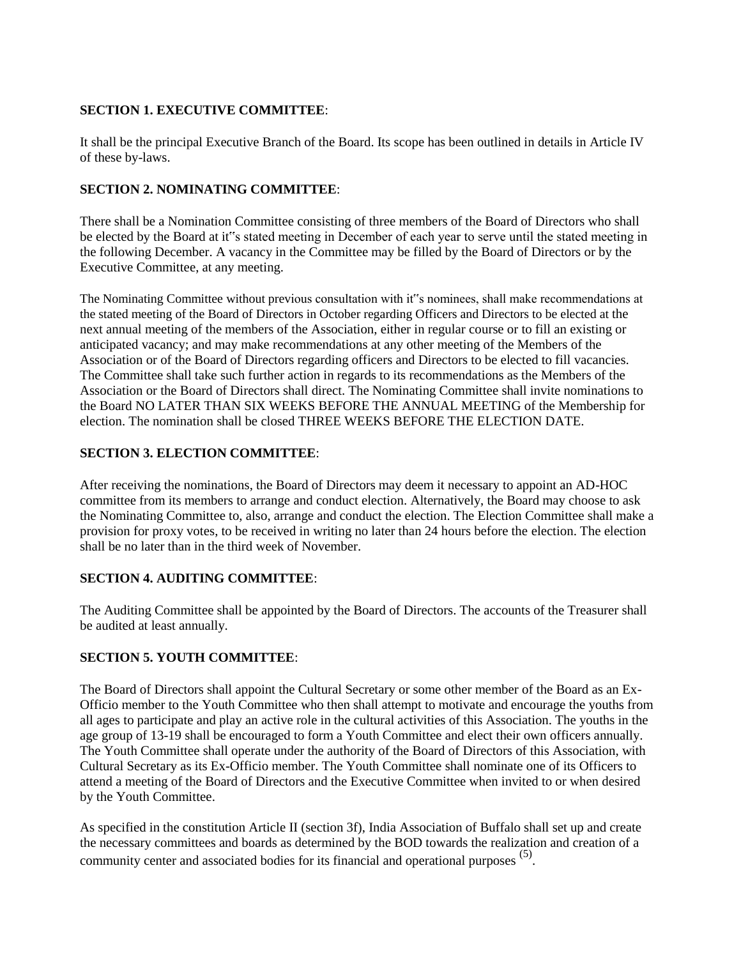# **SECTION 1. EXECUTIVE COMMITTEE**:

It shall be the principal Executive Branch of the Board. Its scope has been outlined in details in Article IV of these by-laws.

# **SECTION 2. NOMINATING COMMITTEE**:

There shall be a Nomination Committee consisting of three members of the Board of Directors who shall be elected by the Board at it"s stated meeting in December of each year to serve until the stated meeting in the following December. A vacancy in the Committee may be filled by the Board of Directors or by the Executive Committee, at any meeting.

The Nominating Committee without previous consultation with it"s nominees, shall make recommendations at the stated meeting of the Board of Directors in October regarding Officers and Directors to be elected at the next annual meeting of the members of the Association, either in regular course or to fill an existing or anticipated vacancy; and may make recommendations at any other meeting of the Members of the Association or of the Board of Directors regarding officers and Directors to be elected to fill vacancies. The Committee shall take such further action in regards to its recommendations as the Members of the Association or the Board of Directors shall direct. The Nominating Committee shall invite nominations to the Board NO LATER THAN SIX WEEKS BEFORE THE ANNUAL MEETING of the Membership for election. The nomination shall be closed THREE WEEKS BEFORE THE ELECTION DATE.

# **SECTION 3. ELECTION COMMITTEE**:

After receiving the nominations, the Board of Directors may deem it necessary to appoint an AD-HOC committee from its members to arrange and conduct election. Alternatively, the Board may choose to ask the Nominating Committee to, also, arrange and conduct the election. The Election Committee shall make a provision for proxy votes, to be received in writing no later than 24 hours before the election. The election shall be no later than in the third week of November.

# **SECTION 4. AUDITING COMMITTEE**:

The Auditing Committee shall be appointed by the Board of Directors. The accounts of the Treasurer shall be audited at least annually.

# **SECTION 5. YOUTH COMMITTEE**:

The Board of Directors shall appoint the Cultural Secretary or some other member of the Board as an Ex-Officio member to the Youth Committee who then shall attempt to motivate and encourage the youths from all ages to participate and play an active role in the cultural activities of this Association. The youths in the age group of 13-19 shall be encouraged to form a Youth Committee and elect their own officers annually. The Youth Committee shall operate under the authority of the Board of Directors of this Association, with Cultural Secretary as its Ex-Officio member. The Youth Committee shall nominate one of its Officers to attend a meeting of the Board of Directors and the Executive Committee when invited to or when desired by the Youth Committee.

As specified in the constitution Article II (section 3f), India Association of Buffalo shall set up and create the necessary committees and boards as determined by the BOD towards the realization and creation of a community center and associated bodies for its financial and operational purposes <sup>(5)</sup>.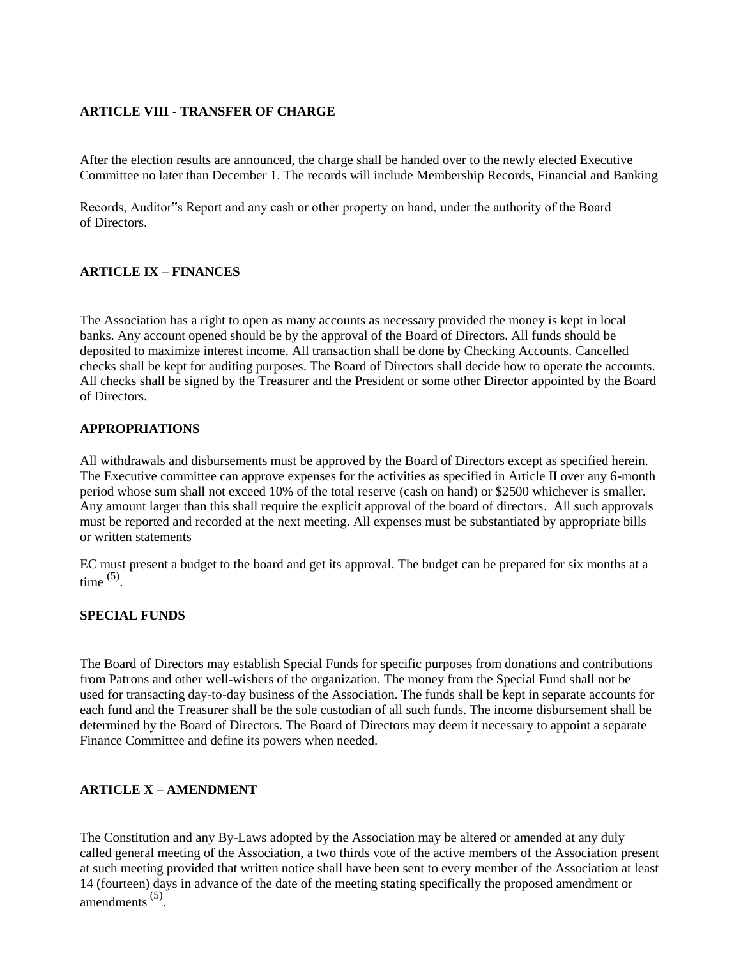### **ARTICLE VIII - TRANSFER OF CHARGE**

After the election results are announced, the charge shall be handed over to the newly elected Executive Committee no later than December 1. The records will include Membership Records, Financial and Banking

Records, Auditor"s Report and any cash or other property on hand, under the authority of the Board of Directors.

### **ARTICLE IX – FINANCES**

The Association has a right to open as many accounts as necessary provided the money is kept in local banks. Any account opened should be by the approval of the Board of Directors. All funds should be deposited to maximize interest income. All transaction shall be done by Checking Accounts. Cancelled checks shall be kept for auditing purposes. The Board of Directors shall decide how to operate the accounts. All checks shall be signed by the Treasurer and the President or some other Director appointed by the Board of Directors.

### **APPROPRIATIONS**

All withdrawals and disbursements must be approved by the Board of Directors except as specified herein. The Executive committee can approve expenses for the activities as specified in Article II over any 6-month period whose sum shall not exceed 10% of the total reserve (cash on hand) or \$2500 whichever is smaller. Any amount larger than this shall require the explicit approval of the board of directors. All such approvals must be reported and recorded at the next meeting. All expenses must be substantiated by appropriate bills or written statements

EC must present a budget to the board and get its approval. The budget can be prepared for six months at a time  $(5)$ .

### **SPECIAL FUNDS**

The Board of Directors may establish Special Funds for specific purposes from donations and contributions from Patrons and other well-wishers of the organization. The money from the Special Fund shall not be used for transacting day-to-day business of the Association. The funds shall be kept in separate accounts for each fund and the Treasurer shall be the sole custodian of all such funds. The income disbursement shall be determined by the Board of Directors. The Board of Directors may deem it necessary to appoint a separate Finance Committee and define its powers when needed.

# **ARTICLE X – AMENDMENT**

The Constitution and any By-Laws adopted by the Association may be altered or amended at any duly called general meeting of the Association, a two thirds vote of the active members of the Association present at such meeting provided that written notice shall have been sent to every member of the Association at least 14 (fourteen) days in advance of the date of the meeting stating specifically the proposed amendment or amendments (5) .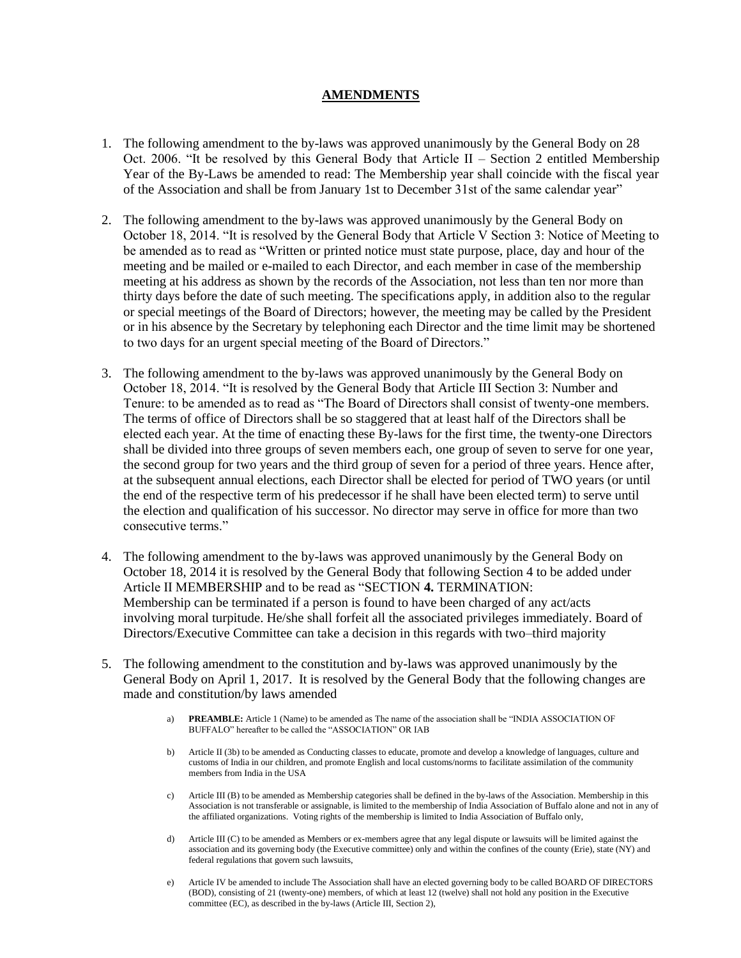#### **AMENDMENTS**

- 1. The following amendment to the by-laws was approved unanimously by the General Body on 28 Oct. 2006. "It be resolved by this General Body that Article II – Section 2 entitled Membership Year of the By-Laws be amended to read: The Membership year shall coincide with the fiscal year of the Association and shall be from January 1st to December 31st of the same calendar year"
- 2. The following amendment to the by-laws was approved unanimously by the General Body on October 18, 2014. "It is resolved by the General Body that Article V Section 3: Notice of Meeting to be amended as to read as "Written or printed notice must state purpose, place, day and hour of the meeting and be mailed or e-mailed to each Director, and each member in case of the membership meeting at his address as shown by the records of the Association, not less than ten nor more than thirty days before the date of such meeting. The specifications apply, in addition also to the regular or special meetings of the Board of Directors; however, the meeting may be called by the President or in his absence by the Secretary by telephoning each Director and the time limit may be shortened to two days for an urgent special meeting of the Board of Directors."
- 3. The following amendment to the by-laws was approved unanimously by the General Body on October 18, 2014. "It is resolved by the General Body that Article III Section 3: Number and Tenure: to be amended as to read as "The Board of Directors shall consist of twenty-one members. The terms of office of Directors shall be so staggered that at least half of the Directors shall be elected each year. At the time of enacting these By-laws for the first time, the twenty-one Directors shall be divided into three groups of seven members each, one group of seven to serve for one year, the second group for two years and the third group of seven for a period of three years. Hence after, at the subsequent annual elections, each Director shall be elected for period of TWO years (or until the end of the respective term of his predecessor if he shall have been elected term) to serve until the election and qualification of his successor. No director may serve in office for more than two consecutive terms."
- 4. The following amendment to the by-laws was approved unanimously by the General Body on October 18, 2014 it is resolved by the General Body that following Section 4 to be added under Article II MEMBERSHIP and to be read as "SECTION **4.** TERMINATION: Membership can be terminated if a person is found to have been charged of any act/acts involving moral turpitude. He/she shall forfeit all the associated privileges immediately. Board of Directors/Executive Committee can take a decision in this regards with two–third majority
- 5. The following amendment to the constitution and by-laws was approved unanimously by the General Body on April 1, 2017. It is resolved by the General Body that the following changes are made and constitution/by laws amended
	- a) **PREAMBLE:** Article 1 (Name) to be amended as The name of the association shall be "INDIA ASSOCIATION OF BUFFALO" hereafter to be called the "ASSOCIATION" OR IAB
	- b) Article II (3b) to be amended as Conducting classes to educate, promote and develop a knowledge of languages, culture and customs of India in our children, and promote English and local customs/norms to facilitate assimilation of the community members from India in the USA
	- c) Article III (B) to be amended as Membership categories shall be defined in the by-laws of the Association. Membership in this Association is not transferable or assignable, is limited to the membership of India Association of Buffalo alone and not in any of the affiliated organizations. Voting rights of the membership is limited to India Association of Buffalo only,
	- d) Article III (C) to be amended as Members or ex-members agree that any legal dispute or lawsuits will be limited against the association and its governing body (the Executive committee) only and within the confines of the county (Erie), state (NY) and federal regulations that govern such lawsuits,
	- e) Article IV be amended to include The Association shall have an elected governing body to be called BOARD OF DIRECTORS (BOD), consisting of 21 (twenty-one) members, of which at least 12 (twelve) shall not hold any position in the Executive committee (EC), as described in the by-laws (Article III, Section 2),